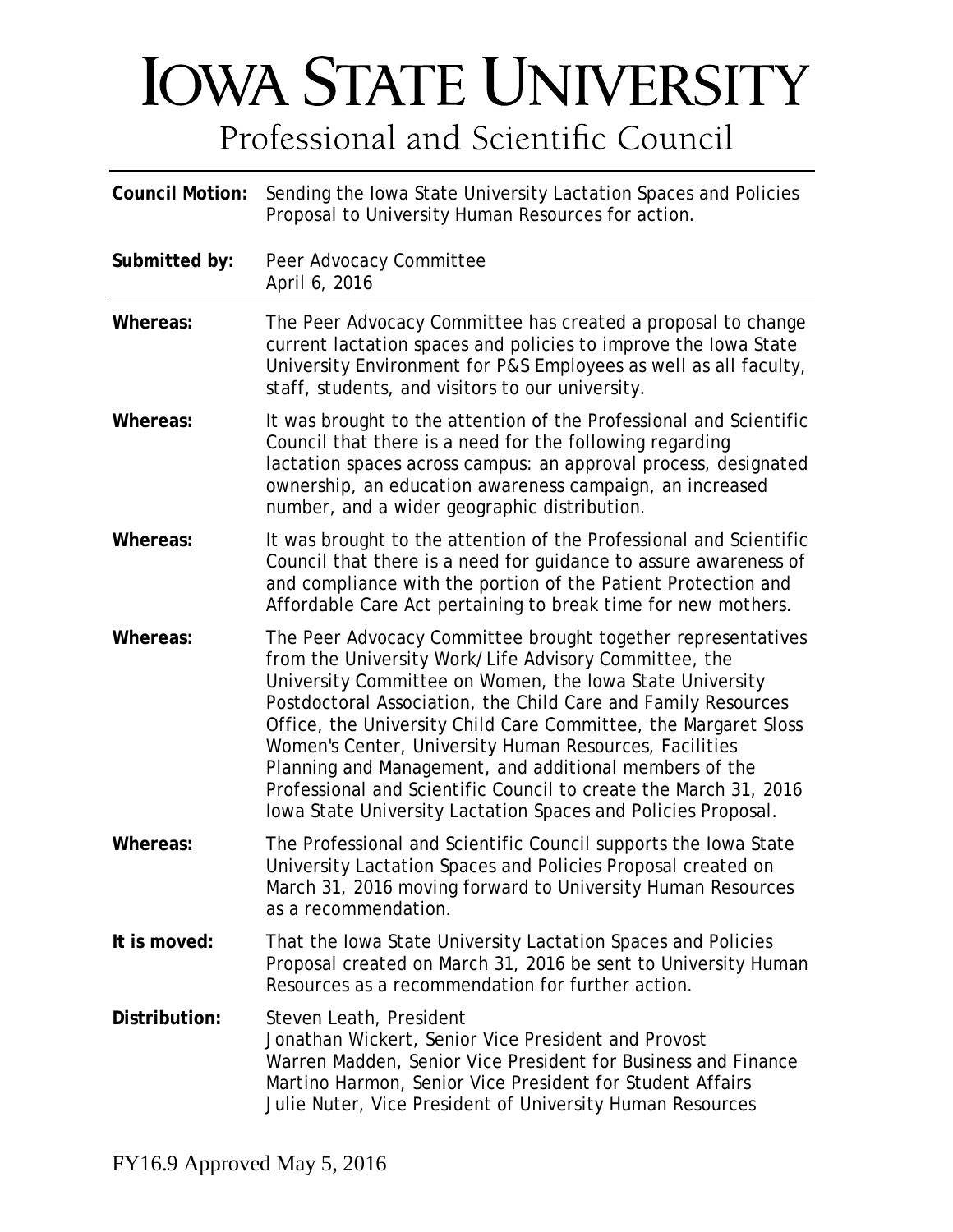# **IOWA STATE UNIVERSITY** Professional and Scientific Council

| <b>Council Motion:</b> | Sending the Iowa State University Lactation Spaces and Policies<br>Proposal to University Human Resources for action.                                                                                                                                                                                                                                                                                                                                                                                                                                                          |  |  |  |
|------------------------|--------------------------------------------------------------------------------------------------------------------------------------------------------------------------------------------------------------------------------------------------------------------------------------------------------------------------------------------------------------------------------------------------------------------------------------------------------------------------------------------------------------------------------------------------------------------------------|--|--|--|
| Submitted by:          | Peer Advocacy Committee<br>April 6, 2016                                                                                                                                                                                                                                                                                                                                                                                                                                                                                                                                       |  |  |  |
| Whereas:               | The Peer Advocacy Committee has created a proposal to change<br>current lactation spaces and policies to improve the lowa State<br>University Environment for P&S Employees as well as all faculty,<br>staff, students, and visitors to our university.                                                                                                                                                                                                                                                                                                                        |  |  |  |
| Whereas:               | It was brought to the attention of the Professional and Scientific<br>Council that there is a need for the following regarding<br>lactation spaces across campus: an approval process, designated<br>ownership, an education awareness campaign, an increased<br>number, and a wider geographic distribution.                                                                                                                                                                                                                                                                  |  |  |  |
| Whereas:               | It was brought to the attention of the Professional and Scientific<br>Council that there is a need for guidance to assure awareness of<br>and compliance with the portion of the Patient Protection and<br>Affordable Care Act pertaining to break time for new mothers.                                                                                                                                                                                                                                                                                                       |  |  |  |
| Whereas:               | The Peer Advocacy Committee brought together representatives<br>from the University Work/Life Advisory Committee, the<br>University Committee on Women, the Iowa State University<br>Postdoctoral Association, the Child Care and Family Resources<br>Office, the University Child Care Committee, the Margaret Sloss<br>Women's Center, University Human Resources, Facilities<br>Planning and Management, and additional members of the<br>Professional and Scientific Council to create the March 31, 2016<br>lowa State University Lactation Spaces and Policies Proposal. |  |  |  |
| Whereas:               | The Professional and Scientific Council supports the Iowa State<br>University Lactation Spaces and Policies Proposal created on<br>March 31, 2016 moving forward to University Human Resources<br>as a recommendation.                                                                                                                                                                                                                                                                                                                                                         |  |  |  |
| It is moved:           | That the Iowa State University Lactation Spaces and Policies<br>Proposal created on March 31, 2016 be sent to University Human<br>Resources as a recommendation for further action.                                                                                                                                                                                                                                                                                                                                                                                            |  |  |  |
| Distribution:          | Steven Leath, President<br>Jonathan Wickert, Senior Vice President and Provost<br>Warren Madden, Senior Vice President for Business and Finance<br>Martino Harmon, Senior Vice President for Student Affairs<br>Julie Nuter, Vice President of University Human Resources                                                                                                                                                                                                                                                                                                      |  |  |  |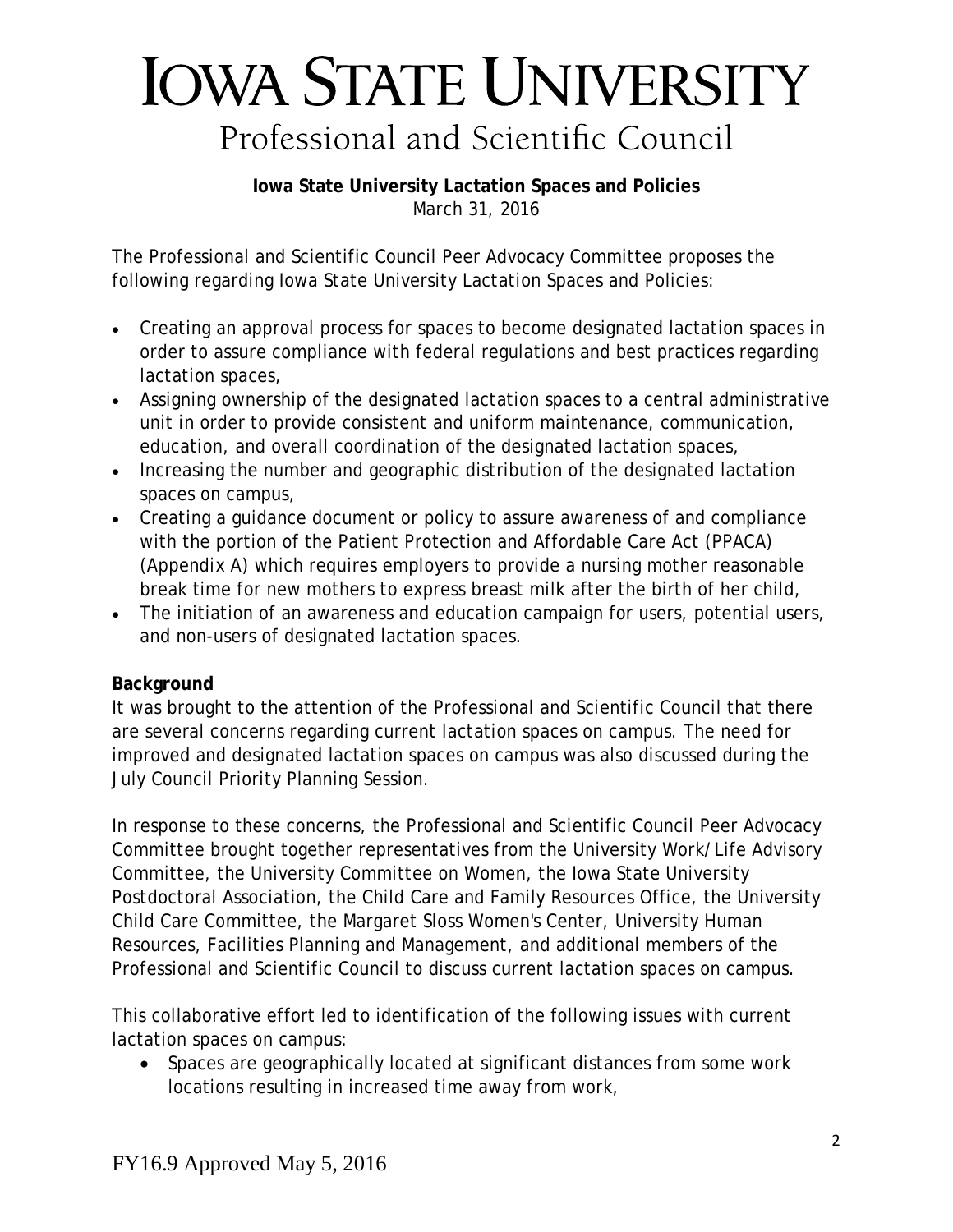# **IOWA STATE UNIVERSITY** Professional and Scientific Council

**Iowa State University Lactation Spaces and Policies** March 31, 2016

The Professional and Scientific Council Peer Advocacy Committee proposes the following regarding Iowa State University Lactation Spaces and Policies:

- Creating an approval process for spaces to become designated lactation spaces in order to assure compliance with federal regulations and best practices regarding lactation spaces,
- Assigning ownership of the designated lactation spaces to a central administrative unit in order to provide consistent and uniform maintenance, communication, education, and overall coordination of the designated lactation spaces,
- Increasing the number and geographic distribution of the designated lactation spaces on campus,
- Creating a guidance document or policy to assure awareness of and compliance with the portion of the Patient Protection and Affordable Care Act (PPACA) (*Appendix A*) which requires employers to provide a nursing mother reasonable break time for new mothers to express breast milk after the birth of her child,
- The initiation of an awareness and education campaign for users, potential users, and non-users of designated lactation spaces.

#### **Background**

It was brought to the attention of the Professional and Scientific Council that there are several concerns regarding current lactation spaces on campus. The need for improved and designated lactation spaces on campus was also discussed during the July Council Priority Planning Session.

In response to these concerns, the Professional and Scientific Council Peer Advocacy Committee brought together representatives from the University Work/Life Advisory Committee, the University Committee on Women, the Iowa State University Postdoctoral Association, the Child Care and Family Resources Office, the University Child Care Committee, the Margaret Sloss Women's Center, University Human Resources, Facilities Planning and Management, and additional members of the Professional and Scientific Council to discuss current lactation spaces on campus.

This collaborative effort led to identification of the following issues with current lactation spaces on campus:

• Spaces are geographically located at significant distances from some work locations resulting in increased time away from work,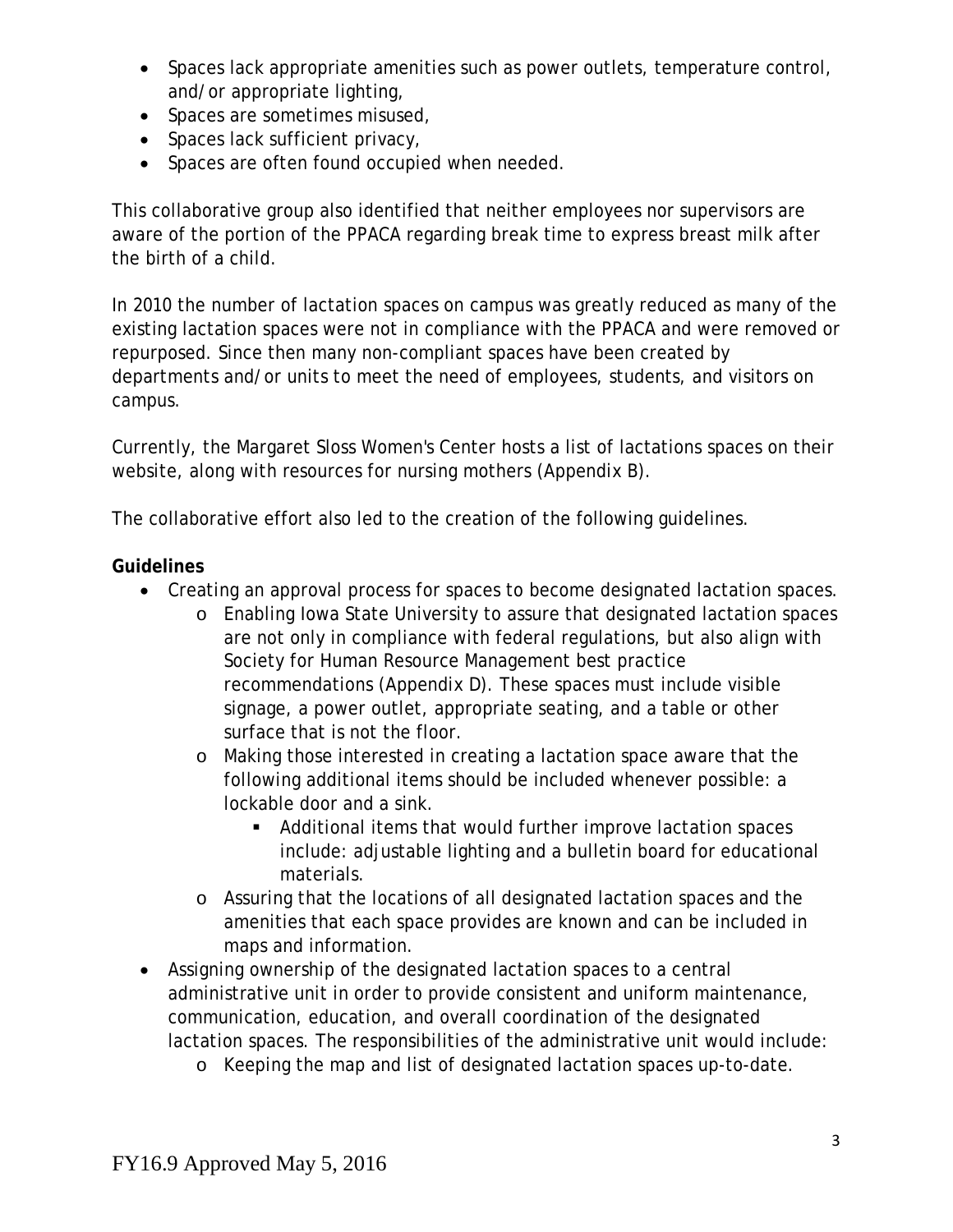- Spaces lack appropriate amenities such as power outlets, temperature control, and/or appropriate lighting,
- Spaces are sometimes misused,
- Spaces lack sufficient privacy,
- Spaces are often found occupied when needed.

This collaborative group also identified that neither employees nor supervisors are aware of the portion of the PPACA regarding break time to express breast milk after the birth of a child.

In 2010 the number of lactation spaces on campus was greatly reduced as many of the existing lactation spaces were not in compliance with the PPACA and were removed or repurposed. Since then many non-compliant spaces have been created by departments and/or units to meet the need of employees, students, and visitors on campus.

Currently, the Margaret Sloss Women's Center hosts a list of lactations spaces on their website, along with resources for nursing mothers (*Appendix B*).

The collaborative effort also led to the creation of the following guidelines.

#### **Guidelines**

- Creating an approval process for spaces to become designated lactation spaces.
	- o Enabling Iowa State University to assure that designated lactation spaces are not only in compliance with federal regulations, but also align with Society for Human Resource Management best practice recommendations (*Appendix D*). These spaces must include visible signage, a power outlet, appropriate seating, and a table or other surface that is not the floor.
	- o Making those interested in creating a lactation space aware that the following additional items should be included whenever possible: a lockable door and a sink.
		- Additional items that would further improve lactation spaces include: adjustable lighting and a bulletin board for educational materials.
	- o Assuring that the locations of all designated lactation spaces and the amenities that each space provides are known and can be included in maps and information.
- Assigning ownership of the designated lactation spaces to a central administrative unit in order to provide consistent and uniform maintenance, communication, education, and overall coordination of the designated lactation spaces. The responsibilities of the administrative unit would include:
	- o Keeping the map and list of designated lactation spaces up-to-date.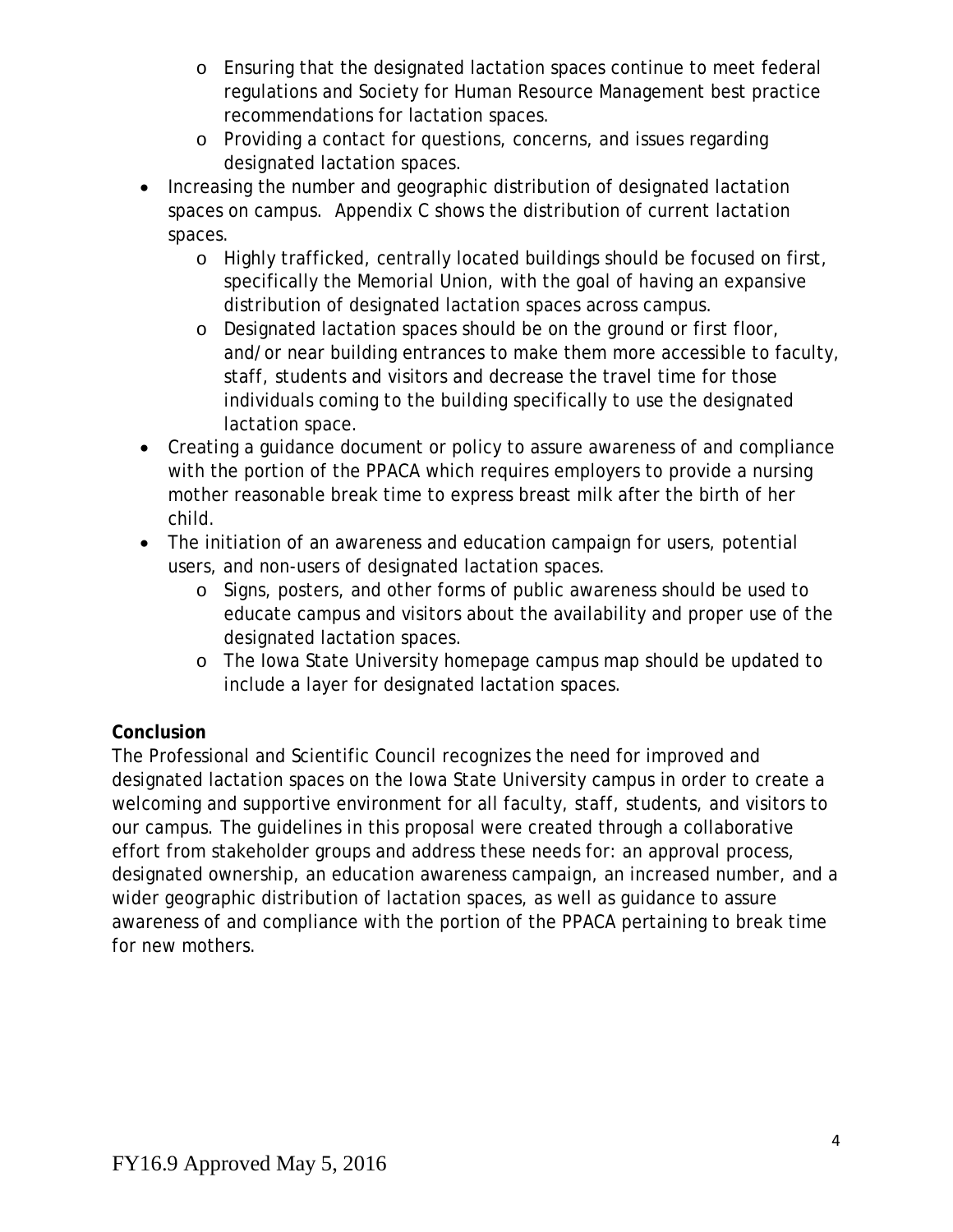- o Ensuring that the designated lactation spaces continue to meet federal regulations and Society for Human Resource Management best practice recommendations for lactation spaces.
- o Providing a contact for questions, concerns, and issues regarding designated lactation spaces.
- Increasing the number and geographic distribution of designated lactation spaces on campus. Appendix C shows the distribution of current lactation spaces.
	- o Highly trafficked, centrally located buildings should be focused on first, specifically the Memorial Union, with the goal of having an expansive distribution of designated lactation spaces across campus.
	- o Designated lactation spaces should be on the ground or first floor, and/or near building entrances to make them more accessible to faculty, staff, students and visitors and decrease the travel time for those individuals coming to the building specifically to use the designated lactation space.
- Creating a guidance document or policy to assure awareness of and compliance with the portion of the PPACA which requires employers to provide a nursing mother reasonable break time to express breast milk after the birth of her child.
- The initiation of an awareness and education campaign for users, potential users, and non-users of designated lactation spaces.
	- o Signs, posters, and other forms of public awareness should be used to educate campus and visitors about the availability and proper use of the designated lactation spaces.
	- o The Iowa State University homepage campus map should be updated to include a layer for designated lactation spaces.

## **Conclusion**

The Professional and Scientific Council recognizes the need for improved and designated lactation spaces on the Iowa State University campus in order to create a welcoming and supportive environment for all faculty, staff, students, and visitors to our campus. The guidelines in this proposal were created through a collaborative effort from stakeholder groups and address these needs for: an approval process, designated ownership, an education awareness campaign, an increased number, and a wider geographic distribution of lactation spaces, as well as guidance to assure awareness of and compliance with the portion of the PPACA pertaining to break time for new mothers.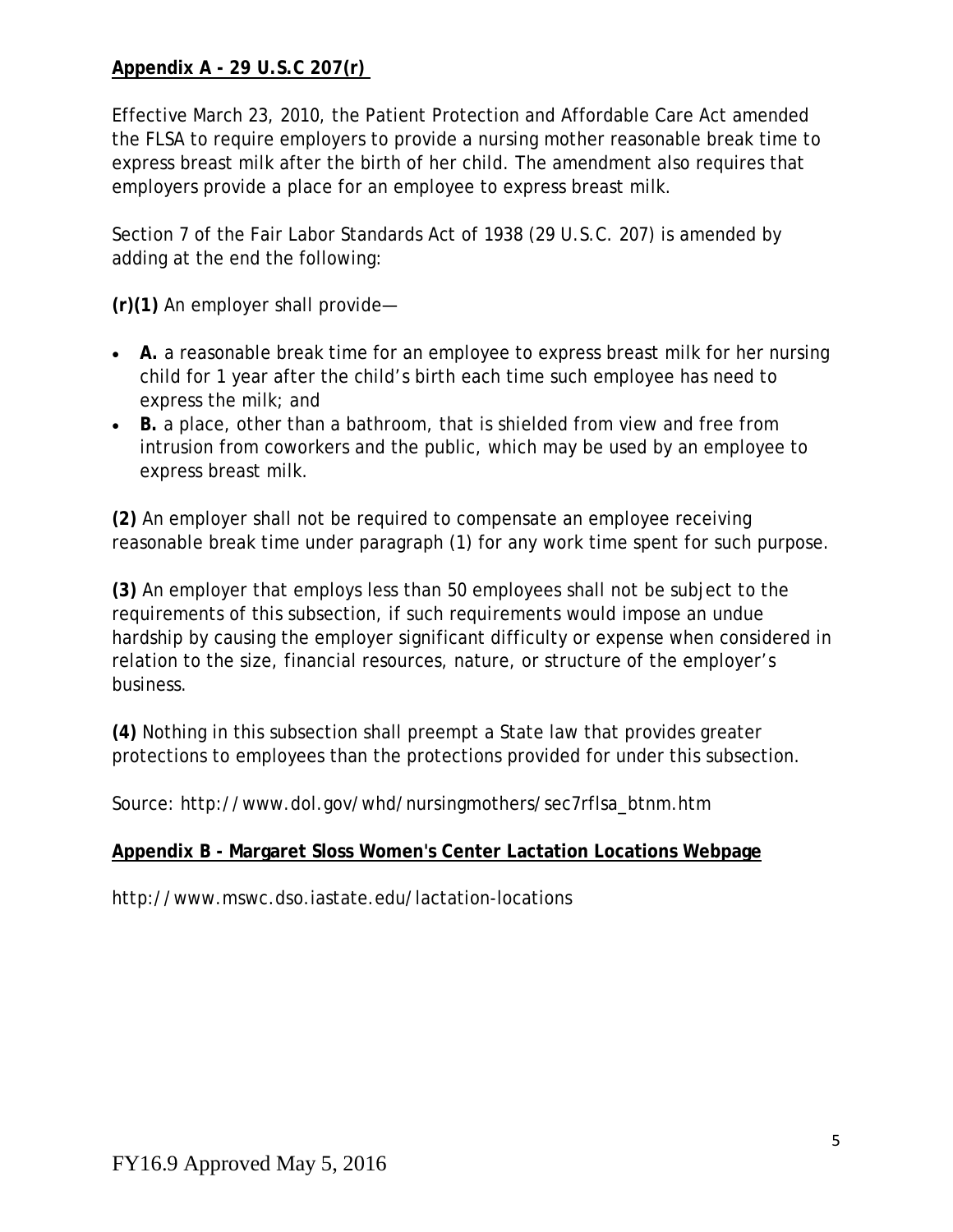### **Appendix A - 29 U.S.C 207(r)**

Effective March 23, 2010, the Patient Protection and Affordable Care Act amended the FLSA to require employers to provide a nursing mother reasonable break time to express breast milk after the birth of her child. The amendment also requires that employers provide a place for an employee to express breast milk.

Section 7 of the Fair Labor Standards Act of 1938 (29 U.S.C. 207) is amended by adding at the end the following:

**(r)(1)** An employer shall provide—

- **A.** a reasonable break time for an employee to express breast milk for her nursing child for 1 year after the child's birth each time such employee has need to express the milk; and
- **B.** a place, other than a bathroom, that is shielded from view and free from intrusion from coworkers and the public, which may be used by an employee to express breast milk.

**(2)** An employer shall not be required to compensate an employee receiving reasonable break time under paragraph (1) for any work time spent for such purpose.

**(3)** An employer that employs less than 50 employees shall not be subject to the requirements of this subsection, if such requirements would impose an undue hardship by causing the employer significant difficulty or expense when considered in relation to the size, financial resources, nature, or structure of the employer's business.

**(4)** Nothing in this subsection shall preempt a State law that provides greater protections to employees than the protections provided for under this subsection.

Source: [http://www.dol.gov/whd/nursingmothers/sec7rflsa\\_btnm.htm](http://www.dol.gov/whd/nursingmothers/sec7rflsa_btnm.htm)

#### **Appendix B - Margaret Sloss Women's Center Lactation Locations Webpage**

<http://www.mswc.dso.iastate.edu/lactation-locations>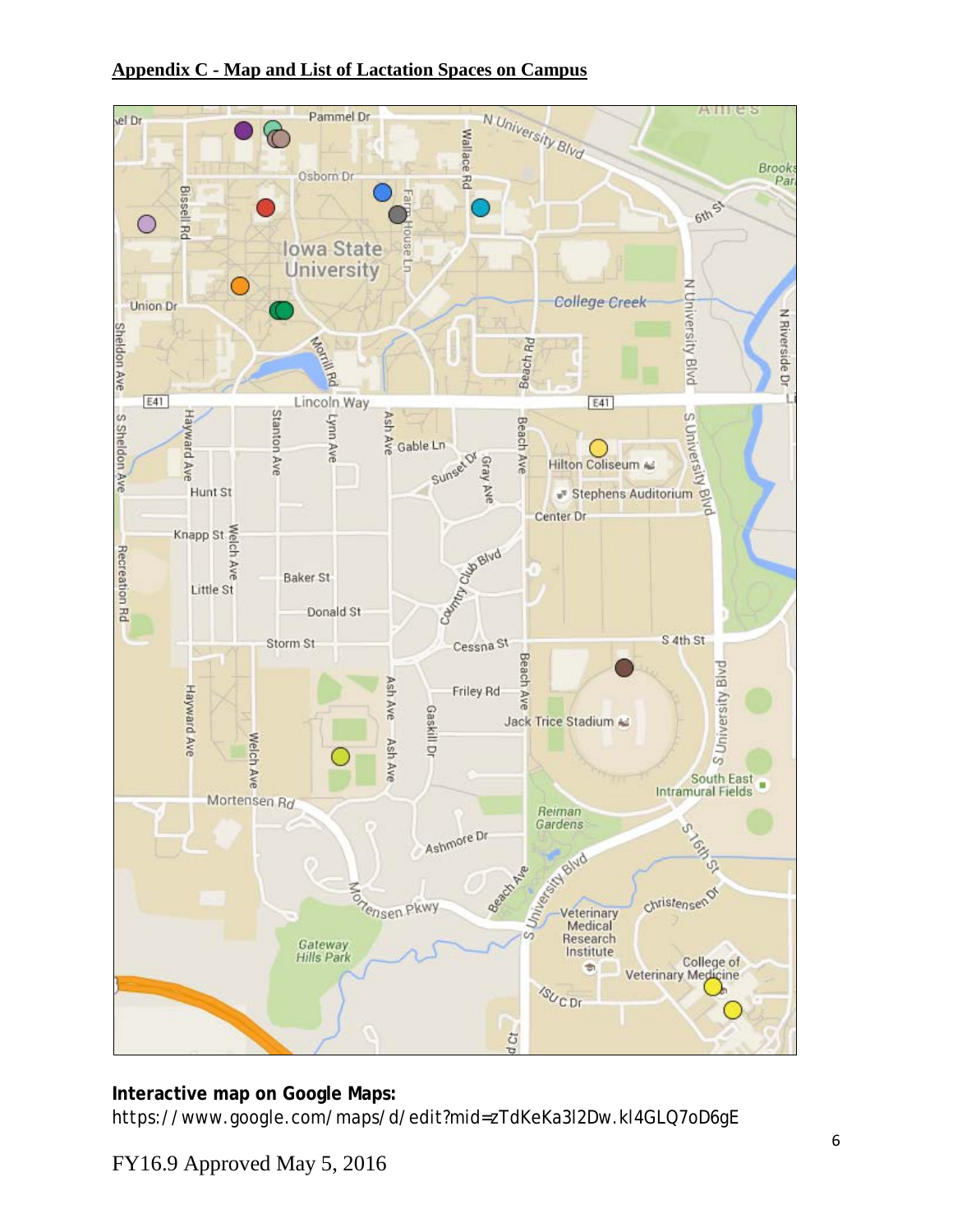#### **Appendix C - Map and List of Lactation Spaces on Campus**



# **Interactive map on Google Maps:**

<https://www.google.com/maps/d/edit?mid=zTdKeKa3l2Dw.kl4GLQ7oD6gE>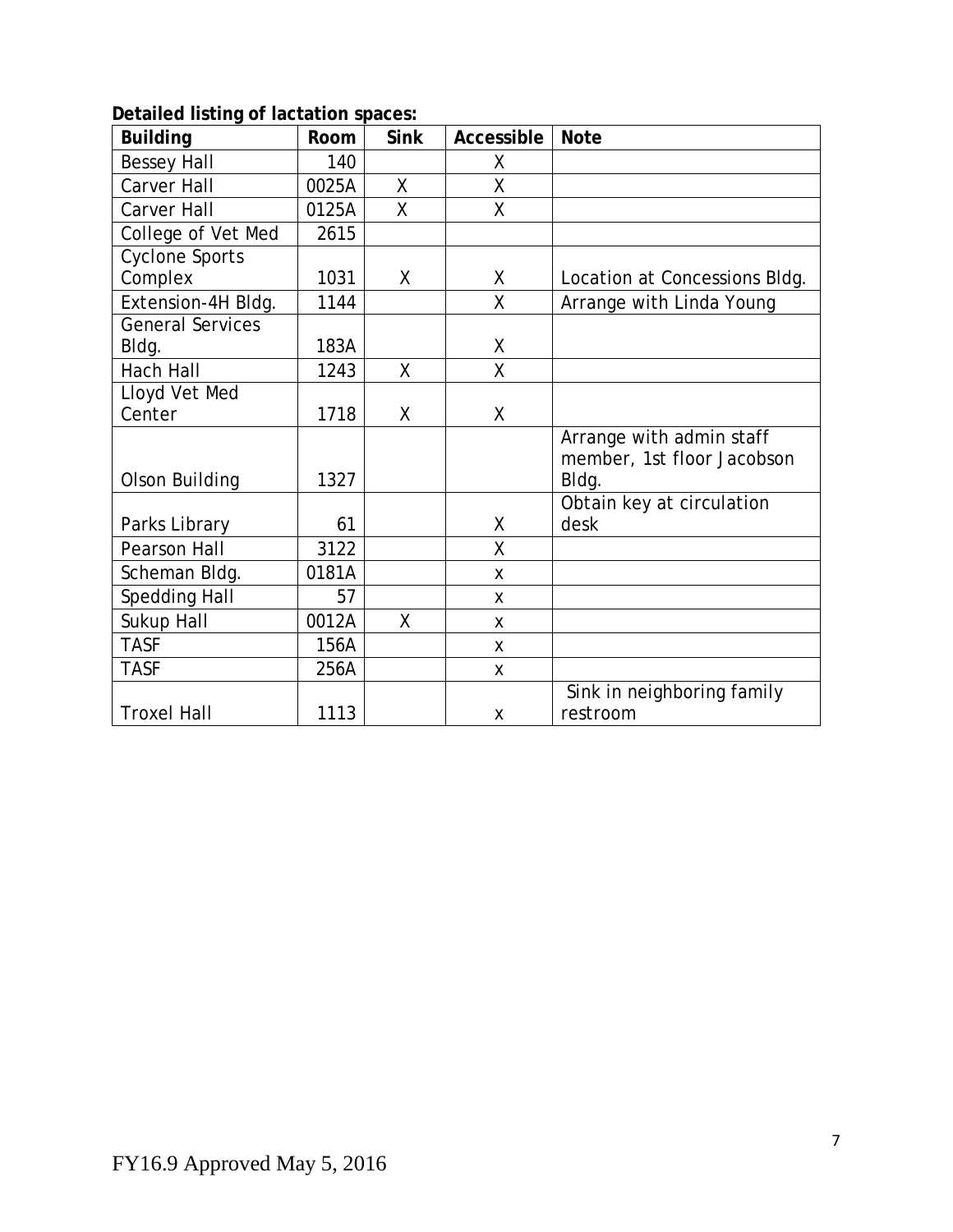### **Detailed listing of lactation spaces:**

| <b>Building</b>         | Room  | <b>Sink</b>  | Accessible   | <b>Note</b>                   |
|-------------------------|-------|--------------|--------------|-------------------------------|
| <b>Bessey Hall</b>      | 140   |              | X            |                               |
| Carver Hall             | 0025A | X            | X            |                               |
| <b>Carver Hall</b>      | 0125A | $\sf X$      | X            |                               |
| College of Vet Med      | 2615  |              |              |                               |
| <b>Cyclone Sports</b>   |       |              |              |                               |
| Complex                 | 1031  | X            | X            | Location at Concessions Bldg. |
| Extension-4H Bldg.      | 1144  |              | $\mathsf{X}$ | Arrange with Linda Young      |
| <b>General Services</b> |       |              |              |                               |
| Bldg.                   | 183A  |              | Χ            |                               |
| <b>Hach Hall</b>        | 1243  | $\mathsf{X}$ | $\sf X$      |                               |
| Lloyd Vet Med           |       |              |              |                               |
| Center                  | 1718  | X            | X            |                               |
|                         |       |              |              | Arrange with admin staff      |
|                         |       |              |              | member, 1st floor Jacobson    |
| Olson Building          | 1327  |              |              | Bldg.                         |
|                         |       |              |              | Obtain key at circulation     |
| Parks Library           | 61    |              | X            | desk                          |
| <b>Pearson Hall</b>     | 3122  |              | $\sf X$      |                               |
| Scheman Bldg.           | 0181A |              | X            |                               |
| <b>Spedding Hall</b>    | 57    |              | X            |                               |
| Sukup Hall              | 0012A | $\mathsf{X}$ | X            |                               |
| <b>TASF</b>             | 156A  |              | X            |                               |
| <b>TASF</b>             | 256A  |              | X            |                               |
|                         |       |              |              | Sink in neighboring family    |
| <b>Troxel Hall</b>      | 1113  |              | X            | restroom                      |